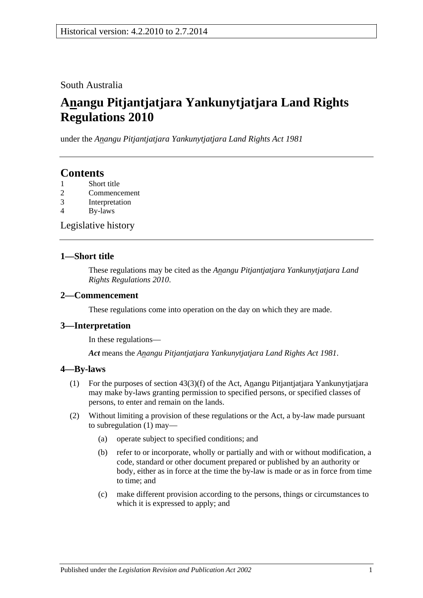### South Australia

# **Anangu Pitjantjatjara Yankunytjatjara Land Rights Regulations 2010**

under the *Anangu Pitjantjatjara Yankunytjatjara Land Rights Act 1981*

## **Contents**

- 1 [Short title](#page-0-0)
- 2 [Commencement](#page-0-1)
- 3 [Interpretation](#page-0-2)
- 4 [By-laws](#page-0-3)

[Legislative history](#page-2-0)

#### <span id="page-0-0"></span>**1—Short title**

These regulations may be cited as the *Anangu Pitjantjatjara Yankunytjatjara Land Rights Regulations 2010*.

#### <span id="page-0-1"></span>**2—Commencement**

These regulations come into operation on the day on which they are made.

### <span id="page-0-2"></span>**3—Interpretation**

In these regulations—

*Act* means the *[Anangu Pitjantjatjara Yankunytjatjara Land Rights Act](http://www.legislation.sa.gov.au/index.aspx?action=legref&type=act&legtitle=Anangu%20Pitjantjatjara%20Yankunytjatjara%20Land%20Rights%20Act%201981) 1981*.

#### <span id="page-0-4"></span><span id="page-0-3"></span>**4—By-laws**

- (1) For the purposes of section 43(3)(f) of the Act, Anangu Pitjantjatjara Yankunytjatjara may make by-laws granting permission to specified persons, or specified classes of persons, to enter and remain on the lands.
- (2) Without limiting a provision of these regulations or the Act, a by-law made pursuant to [subregulation](#page-0-4) (1) may—
	- (a) operate subject to specified conditions; and
	- (b) refer to or incorporate, wholly or partially and with or without modification, a code, standard or other document prepared or published by an authority or body, either as in force at the time the by-law is made or as in force from time to time; and
	- (c) make different provision according to the persons, things or circumstances to which it is expressed to apply; and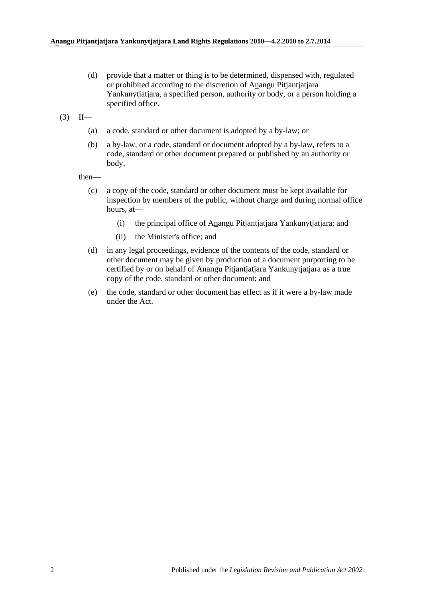(d) provide that a matter or thing is to be determined, dispensed with, regulated or prohibited according to the discretion of Anangu Pitjantjatjara Yankunytjatjara, a specified person, authority or body, or a person holding a specified office.

 $(3)$  If—

- (a) a code, standard or other document is adopted by a by-law; or
- (b) a by-law, or a code, standard or document adopted by a by-law, refers to a code, standard or other document prepared or published by an authority or body,

then—

- (c) a copy of the code, standard or other document must be kept available for inspection by members of the public, without charge and during normal office hours, at—
	- (i) the principal office of Anangu Pitjantjatjara Yankunytjatjara; and
	- (ii) the Minister's office; and
- (d) in any legal proceedings, evidence of the contents of the code, standard or other document may be given by production of a document purporting to be certified by or on behalf of Anangu Pitjantjatjara Yankunytjatjara as a true copy of the code, standard or other document; and
- (e) the code, standard or other document has effect as if it were a by-law made under the Act.